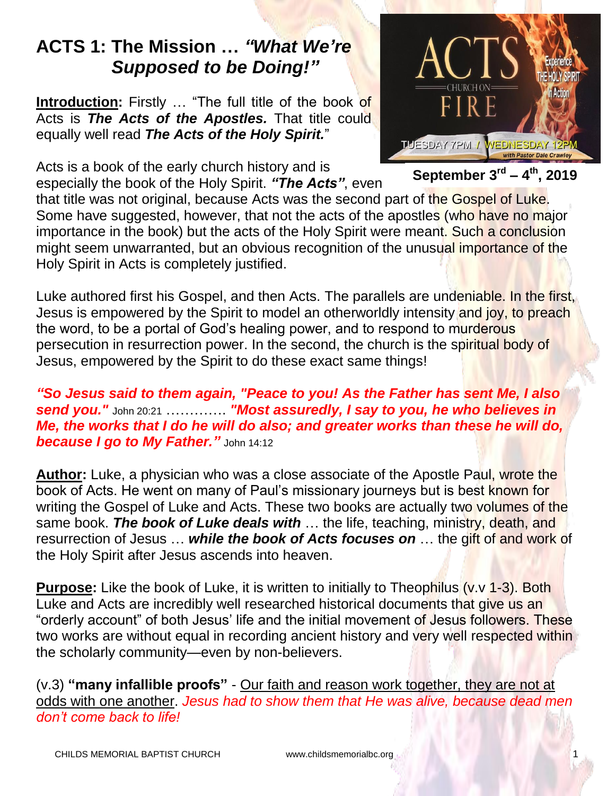# **ACTS 1: The Mission …** *"What We're Supposed to be Doing!"*

**Introduction:** Firstly … "The full title of the book of Acts is *The Acts of the Apostles.* That title could equally well read *The Acts of the Holy Spirit.*"

Acts is a book of the early church history and is especially the book of the Holy Spirit. *"The Acts"*, even



**September 3 rd – 4 th, 2019**

that title was not original, because Acts was the second part of the Gospel of Luke. Some have suggested, however, that not the acts of the apostles (who have no major importance in the book) but the acts of the Holy Spirit were meant. Such a conclusion might seem unwarranted, but an obvious recognition of the unusual importance of the Holy Spirit in Acts is completely justified.

Luke authored first his Gospel, and then Acts. The parallels are undeniable. In the first, Jesus is empowered by the Spirit to model an otherworldly intensity and joy, to preach the word, to be a portal of God's healing power, and to respond to murderous persecution in resurrection power. In the second, the church is the spiritual body of Jesus, empowered by the Spirit to do these exact same things!

*"So Jesus said to them again, "Peace to you! As the Father has sent Me, I also send you."* John 20:21 …………. *"Most assuredly, I say to you, he who believes in Me, the works that I do he will do also; and greater works than these he will do, because I go to My Father."* John 14:12

**Author:** Luke, a physician who was a close associate of the Apostle Paul, wrote the book of Acts. He went on many of Paul's missionary journeys but is best known for writing the Gospel of Luke and Acts. These two books are actually two volumes of the same book. *The book of Luke deals with* … the life, teaching, ministry, death, and resurrection of Jesus … *while the book of Acts focuses on* … the gift of and work of the Holy Spirit after Jesus ascends into heaven.

**Purpose:** Like the book of Luke, it is written to initially to Theophilus (v.v. 1-3). Both Luke and Acts are incredibly well researched historical documents that give us an "orderly account" of both Jesus' life and the initial movement of Jesus followers. These two works are without equal in recording ancient history and very well respected within the scholarly community—even by non-believers.

(v.3) **"many infallible proofs"** - Our faith and reason work together, they are not at odds with one another. *Jesus had to show them that He was alive, because dead men don't come back to life!*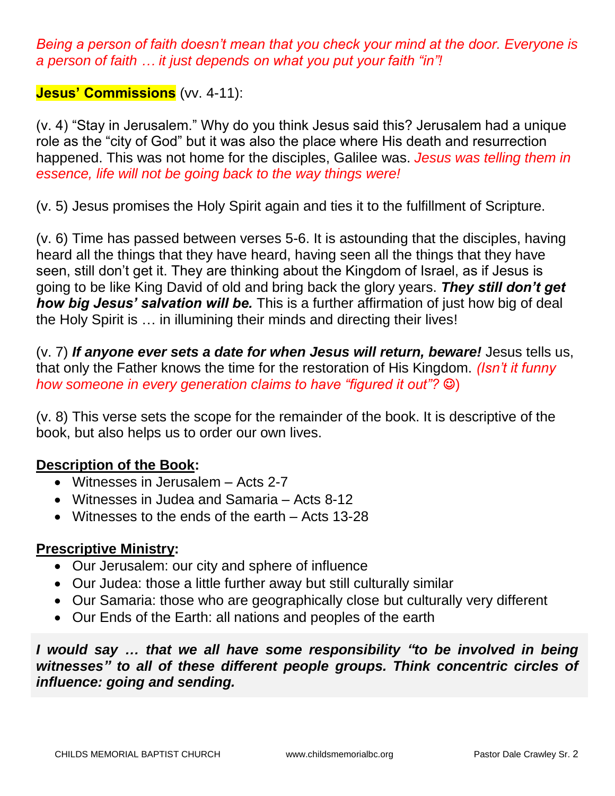*Being a person of faith doesn't mean that you check your mind at the door. Everyone is a person of faith … it just depends on what you put your faith "in"!*

#### **Jesus' Commissions** (vv. 4-11):

(v. 4) "Stay in Jerusalem." Why do you think Jesus said this? Jerusalem had a unique role as the "city of God" but it was also the place where His death and resurrection happened. This was not home for the disciples, Galilee was. *Jesus was telling them in essence, life will not be going back to the way things were!*

(v. 5) Jesus promises the Holy Spirit again and ties it to the fulfillment of Scripture.

(v. 6) Time has passed between verses 5-6. It is astounding that the disciples, having heard all the things that they have heard, having seen all the things that they have seen, still don't get it. They are thinking about the Kingdom of Israel, as if Jesus is going to be like King David of old and bring back the glory years. *They still don't get how big Jesus' salvation will be.* This is a further affirmation of just how big of deal the Holy Spirit is … in illumining their minds and directing their lives!

(v. 7) *If anyone ever sets a date for when Jesus will return, beware!* Jesus tells us, that only the Father knows the time for the restoration of His Kingdom. *(Isn't it funny how someone in every generation claims to have "figured it out"?*  $\circledcirc$ )

(v. 8) This verse sets the scope for the remainder of the book. It is descriptive of the book, but also helps us to order our own lives.

# **Description of the Book:**

- Witnesses in Jerusalem Acts 2-7
- Witnesses in Judea and Samaria Acts 8-12
- Witnesses to the ends of the earth Acts 13-28

#### **Prescriptive Ministry:**

- Our Jerusalem: our city and sphere of influence
- Our Judea: those a little further away but still culturally similar
- Our Samaria: those who are geographically close but culturally very different
- Our Ends of the Earth: all nations and peoples of the earth

*I would say … that we all have some responsibility "to be involved in being witnesses" to all of these different people groups. Think concentric circles of influence: going and sending.*